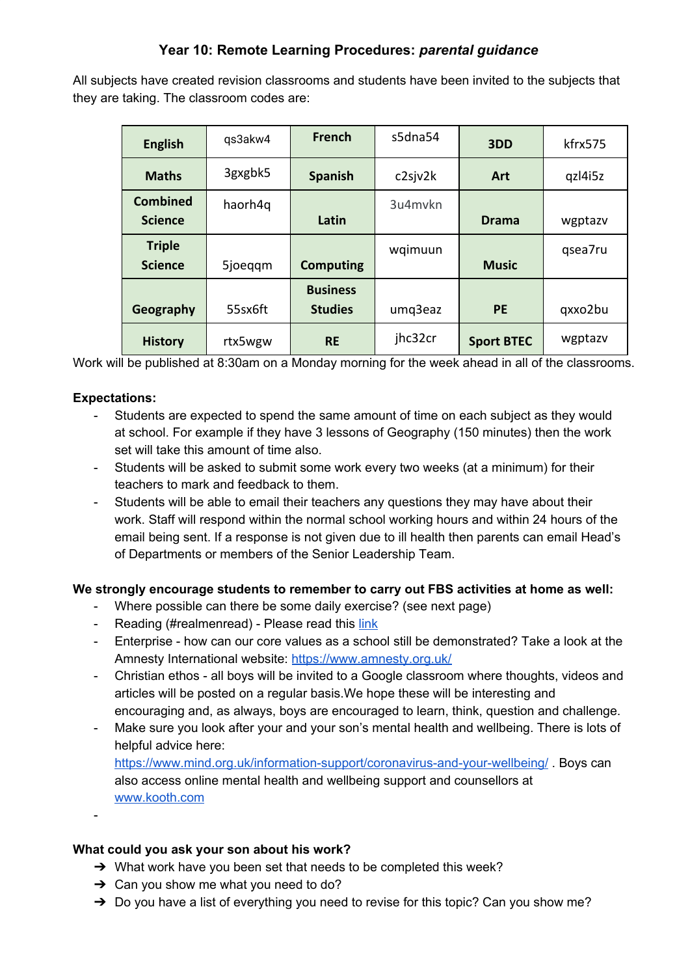## **Year 10: Remote Learning Procedures:** *parental guidance*

All subjects have created revision classrooms and students have been invited to the subjects that they are taking. The classroom codes are:

| <b>English</b>                    | qs3akw4 | <b>French</b>                     | s5dna54 | 3DD               | kfrx575 |
|-----------------------------------|---------|-----------------------------------|---------|-------------------|---------|
| <b>Maths</b>                      | 3gxgbk5 | <b>Spanish</b>                    | c2sjv2k | <b>Art</b>        | qzl4i5z |
| <b>Combined</b><br><b>Science</b> | haorh4q | Latin                             | 3u4mvkn | <b>Drama</b>      | wgptazv |
| <b>Triple</b><br><b>Science</b>   | 5joeggm | <b>Computing</b>                  | wqimuun | <b>Music</b>      | qsea7ru |
| Geography                         | 55sx6ft | <b>Business</b><br><b>Studies</b> | umq3eaz | <b>PE</b>         | qxxo2bu |
| <b>History</b>                    | rtx5wgw | <b>RE</b>                         | jhc32cr | <b>Sport BTEC</b> | wgptazv |

Work will be published at 8:30am on a Monday morning for the week ahead in all of the classrooms.

### **Expectations:**

- Students are expected to spend the same amount of time on each subject as they would at school. For example if they have 3 lessons of Geography (150 minutes) then the work set will take this amount of time also.
- Students will be asked to submit some work every two weeks (at a minimum) for their teachers to mark and feedback to them.
- Students will be able to email their teachers any questions they may have about their work. Staff will respond within the normal school working hours and within 24 hours of the email being sent. If a response is not given due to ill health then parents can email Head's of Departments or members of the Senior Leadership Team.

#### **We strongly encourage students to remember to carry out FBS activities at home as well:**

- Where possible can there be some daily exercise? (see next page)
- Reading (#realmenread) Please read this [link](https://docs.google.com/document/d/1knSYcsOOGcFy1AO3hGzdqbm3yfsbWLJzxkEkZuPF_4M/edit?usp=sharing)
- Enterprise how can our core values as a school still be demonstrated? Take a look at the Amnesty International website: <https://www.amnesty.org.uk/>
- Christian ethos all boys will be invited to a Google classroom where thoughts, videos and articles will be posted on a regular basis.We hope these will be interesting and encouraging and, as always, boys are encouraged to learn, think, question and challenge.
- Make sure you look after your and your son's mental health and wellbeing. There is lots of helpful advice here: <https://www.mind.org.uk/information-support/coronavirus-and-your-wellbeing/> . Boys can also access online mental health and wellbeing support and counsellors at
	- [www.kooth.com](http://www.kooth.com/)

-

## **What could you ask your son about his work?**

- $\rightarrow$  What work have you been set that needs to be completed this week?
- $\rightarrow$  Can you show me what you need to do?
- → Do you have a list of everything you need to revise for this topic? Can you show me?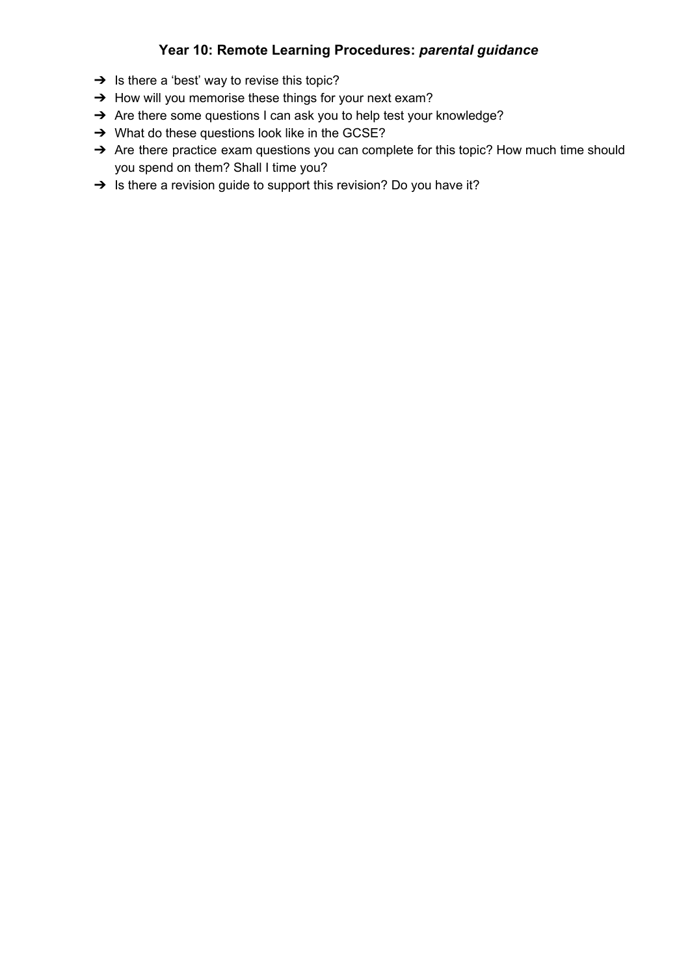# **Year 10: Remote Learning Procedures:** *parental guidance*

- $\rightarrow$  Is there a 'best' way to revise this topic?
- → How will you memorise these things for your next exam?
- → Are there some questions I can ask you to help test your knowledge?
- → What do these questions look like in the GCSE?
- → Are there practice exam questions you can complete for this topic? How much time should you spend on them? Shall I time you?
- → Is there a revision guide to support this revision? Do you have it?